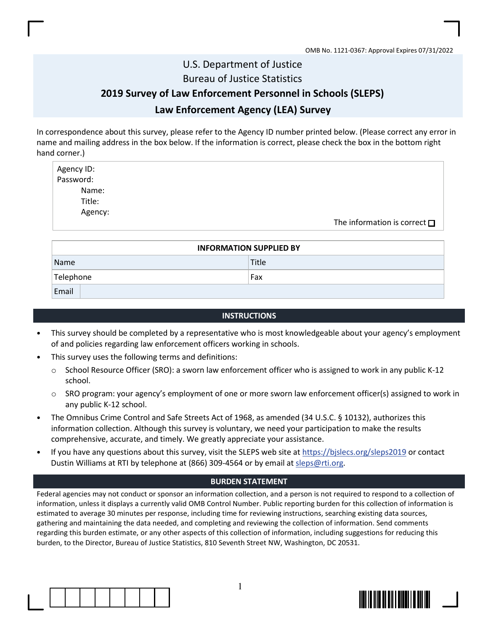## U.S. Department of Justice Bureau of Justice Statistics

## 2019 Survey of Law Enforcement Personnel in Schools (SLEPS) Law Enforcement Agency (LEA) Survey

In correspondence about this survey, please refer to the Agency ID number printed below. (Please correct any error in name and mailing address in the box below. If the information is correct, please check the box in the bottom right hand corner.)

Agency ID: Password: Name: Title: Agency: The information is correct  $\Box$ 

| <b>INFORMATION SUPPLIED BY</b> |       |  |  |  |  |
|--------------------------------|-------|--|--|--|--|
| Name                           | Title |  |  |  |  |
| Telephone                      | Fax   |  |  |  |  |
| Email                          |       |  |  |  |  |

## **INSTRUCTIONS**

- This survey should be completed by a representative who is most knowledgeable about your agency's employment of and policies regarding law enforcement officers working in schools.
- This survey uses the following terms and definitions:
	- $\circ$  School Resource Officer (SRO): a sworn law enforcement officer who is assigned to work in any public K-12 school.
	- o SRO program: your agency's employment of one or more sworn law enforcement officer(s) assigned to work in any public K-12 school.
- The Omnibus Crime Control and Safe Streets Act of 1968, as amended (34 U.S.C. § 10132), authorizes this information collection. Although this survey is voluntary, we need your participation to make the results comprehensive, accurate, and timely. We greatly appreciate your assistance.
- If you have any questions about this survey, visit the SLEPS web site at https://bislecs.org/sleps2019 or contact Dustin Williams at RTI by telephone at (866) 309-4564 or by email at sleps@rti.org.

## BURDEN STATEMENT

Federal agencies may not conduct or sponsor an information collection, and a person is not required to respond to a collection of information, unless it displays a currently valid OMB Control Number. Public reporting burden for this collection of information is estimated to average 30 minutes per response, including time for reviewing instructions, searching existing data sources, gathering and maintaining the data needed, and completing and reviewing the collection of information. Send comments regarding this burden estimate, or any other aspects of this collection of information, including suggestions for reducing this burden, to the Director, Bureau of Justice Statistics, 810 Seventh Street NW, Washington, DC 20531.



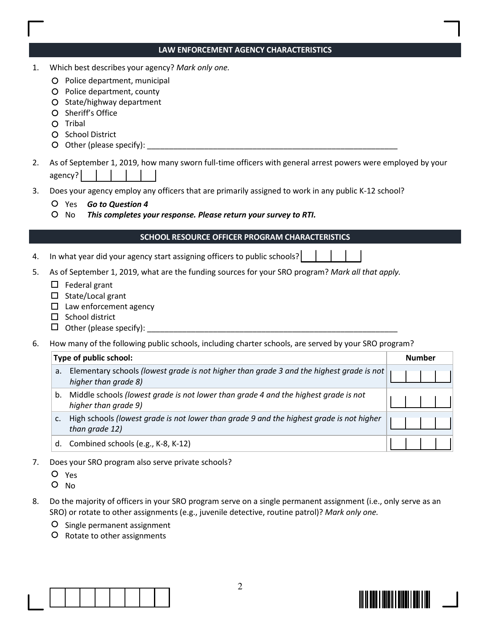|    | LAW ENFORCEMENT AGENCY CHARACTERISTICS                                                                                                                                                                                                         |               |
|----|------------------------------------------------------------------------------------------------------------------------------------------------------------------------------------------------------------------------------------------------|---------------|
| 1. | Which best describes your agency? Mark only one.<br>O Police department, municipal<br>O Police department, county<br>State/highway department<br>O<br>Sheriff's Office<br>O<br>Tribal<br>O<br>O School District                                |               |
| 2. | As of September 1, 2019, how many sworn full-time officers with general arrest powers were employed by your<br>agency?                                                                                                                         |               |
| 3. | Does your agency employ any officers that are primarily assigned to work in any public K-12 school?<br>O Yes Go to Question 4<br>$\circ$<br>No<br>This completes your response. Please return your survey to RTI.                              |               |
|    | SCHOOL RESOURCE OFFICER PROGRAM CHARACTERISTICS                                                                                                                                                                                                |               |
| 4. | In what year did your agency start assigning officers to public schools?                                                                                                                                                                       |               |
| 5. | As of September 1, 2019, what are the funding sources for your SRO program? Mark all that apply.<br>$\Box$ Federal grant<br>State/Local grant<br>□<br>Law enforcement agency<br>□<br>School district<br>□<br>$\Box$<br>Other (please specify): |               |
| 6. | How many of the following public schools, including charter schools, are served by your SRO program?                                                                                                                                           |               |
|    | Type of public school:                                                                                                                                                                                                                         | <b>Number</b> |
|    | Elementary schools (lowest grade is not higher than grade 3 and the highest grade is not<br>a.<br>higher than grade 8)                                                                                                                         |               |
|    | Middle schools (lowest grade is not lower than grade 4 and the highest grade is not<br>higher than grade 9)                                                                                                                                    |               |
|    | High schools (lowest grade is not lower than grade 9 and the highest grade is not higher<br>c.<br>than grade 12)                                                                                                                               |               |
|    | Combined schools (e.g., K-8, K-12)<br>d.                                                                                                                                                                                                       |               |
| 7. | Does your SRO program also serve private schools?                                                                                                                                                                                              |               |

- Yes
- O No
- 8. Do the majority of officers in your SRO program serve on a single permanent assignment (i.e., only serve as an SRO) or rotate to other assignments (e.g., juvenile detective, routine patrol)? Mark only one.
	- O Single permanent assignment
	- O Rotate to other assignments



 $\Box$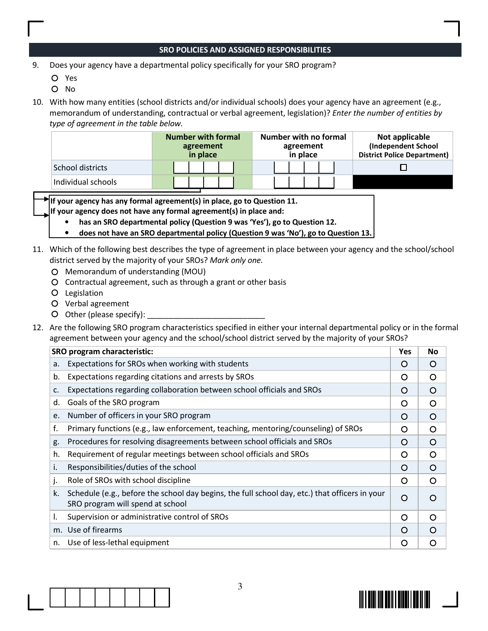## SRO POLICIES AND ASSIGNED RESPONSIBILITIES

9. Does your agency have a departmental policy specifically for your SRO program?

- Yes
- O No
- 10. With how many entities (school districts and/or individual schools) does your agency have an agreement (e.g., memorandum of understanding, contractual or verbal agreement, legislation)? Enter the number of entities by type of agreement in the table below.

|                    | <b>Number with formal</b><br>agreement<br>in place | Number with no formal<br>agreement<br>in place | Not applicable<br>(Independent School<br><b>District Police Department)</b> |
|--------------------|----------------------------------------------------|------------------------------------------------|-----------------------------------------------------------------------------|
| School districts   |                                                    |                                                |                                                                             |
| Individual schools |                                                    |                                                |                                                                             |

If your agency has any formal agreement(s) in place, go to Question 11.

If your agency does not have any formal agreement(s) in place and:

- has an SRO departmental policy (Question 9 was 'Yes'), go to Question 12.
- does not have an SRO departmental policy (Question 9 was 'No'), go to Question 13.
- 11. Which of the following best describes the type of agreement in place between your agency and the school/school district served by the majority of your SROs? Mark only one.
	- Memorandum of understanding (MOU)
	- Contractual agreement, such as through a grant or other basis
	- Legislation
	- Verbal agreement
	- $O$  Other (please specify):
- 12. Are the following SRO program characteristics specified in either your internal departmental policy or in the formal agreement between your agency and the school/school district served by the majority of your SROs?

|    | <b>SRO program characteristic:</b>                                                                                                 | <b>Yes</b> | <b>No</b> |
|----|------------------------------------------------------------------------------------------------------------------------------------|------------|-----------|
| a. | Expectations for SROs when working with students                                                                                   | $\circ$    | $\Omega$  |
| b. | Expectations regarding citations and arrests by SROs                                                                               | O          | ∩         |
| c. | Expectations regarding collaboration between school officials and SROs                                                             | $\circ$    | O         |
| d. | Goals of the SRO program                                                                                                           | O          | O         |
| e. | Number of officers in your SRO program                                                                                             | $\circ$    | $\Omega$  |
| f. | Primary functions (e.g., law enforcement, teaching, mentoring/counseling) of SROs                                                  | O          | O         |
| g. | Procedures for resolving disagreements between school officials and SROs                                                           | $\Omega$   | $\Omega$  |
| h. | Requirement of regular meetings between school officials and SROs                                                                  | O          | O         |
| i. | Responsibilities/duties of the school                                                                                              | $\circ$    | $\Omega$  |
| j. | Role of SROs with school discipline                                                                                                | $\Omega$   | O         |
| k. | Schedule (e.g., before the school day begins, the full school day, etc.) that officers in your<br>SRO program will spend at school | $\circ$    | $\Omega$  |
| ı. | Supervision or administrative control of SROs                                                                                      | $\Omega$   | ∩         |
|    | m. Use of firearms                                                                                                                 | $\Omega$   | $\Omega$  |
| n. | Use of less-lethal equipment                                                                                                       | O          | O         |

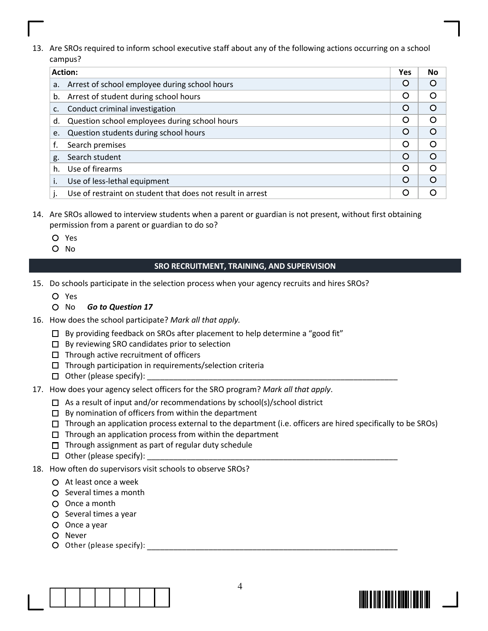13. Are SROs required to inform school executive staff about any of the following actions occurring on a school campus?

|    | <b>Action:</b>                                             | Yes      | <b>No</b> |
|----|------------------------------------------------------------|----------|-----------|
| a. | Arrest of school employee during school hours              | Ő        |           |
| b. | Arrest of student during school hours                      | O        | ∩         |
| C. | Conduct criminal investigation                             | O        |           |
| d. | Question school employees during school hours              | O        | ∩         |
| e. | Question students during school hours                      | O        |           |
|    | Search premises                                            | O        | ∩         |
| g. | Search student                                             | $\Omega$ |           |
| h. | Use of firearms                                            | O        |           |
|    | Use of less-lethal equipment                               | $\Omega$ | $\cap$    |
|    | Use of restraint on student that does not result in arrest |          |           |

- 14. Are SROs allowed to interview students when a parent or guardian is not present, without first obtaining permission from a parent or guardian to do so?
	- Yes
	- O No

## SRO RECRUITMENT, TRAINING, AND SUPERVISION

- 15. Do schools participate in the selection process when your agency recruits and hires SROs?
	- Yes
	- O No Go to Question 17
- 16. How does the school participate? Mark all that apply.
	- $\square$  By providing feedback on SROs after placement to help determine a "good fit"
	- $\Box$  By reviewing SRO candidates prior to selection
	- $\Box$  Through active recruitment of officers
	- $\Box$  Through participation in requirements/selection criteria
	- $\Box$  Other (please specify):
- 17. How does your agency select officers for the SRO program? Mark all that apply.
	- $\Box$  As a result of input and/or recommendations by school(s)/school district
	- $\square$  By nomination of officers from within the department
	- $\Box$  Through an application process external to the department (i.e. officers are hired specifically to be SROs)
	- $\Box$  Through an application process from within the department
	- $\Box$  Through assignment as part of regular duty schedule
	- $\Box$  Other (please specify):
- 18. How often do supervisors visit schools to observe SROs?
	- $\Omega$  At least once a week
	- $\Omega$  Several times a month
	- Once a month
	- $O$  Several times a year
	- Once a year
	- O Never
	- Other (please specify): \_\_\_\_\_\_\_\_\_\_\_\_\_\_\_\_\_\_\_\_\_\_\_\_\_\_\_\_\_\_\_\_\_\_\_\_\_\_\_\_\_\_\_\_\_\_\_\_\_\_\_\_\_\_\_\_\_ Other (please specify):



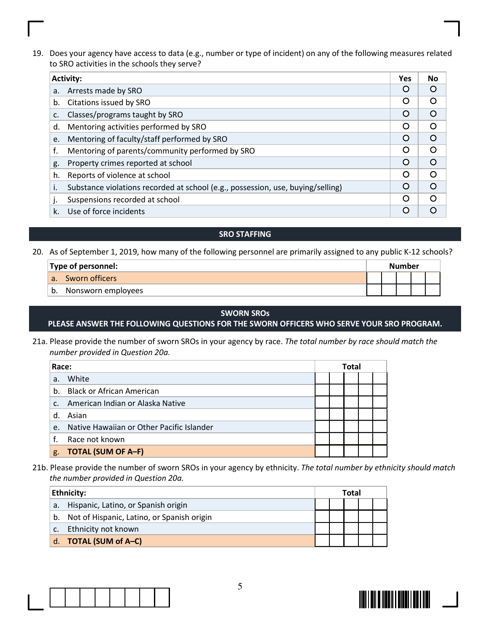19. Does your agency have access to data (e.g., number or type of incident) on any of the following measures related to SRO activities in the schools they serve?

|    | <b>Activity:</b>                                                                | <b>Yes</b> | <b>No</b> |
|----|---------------------------------------------------------------------------------|------------|-----------|
| a. | Arrests made by SRO                                                             | O          |           |
| b. | Citations issued by SRO                                                         | Ω          | ∩         |
| c. | Classes/programs taught by SRO                                                  | $\circ$    |           |
| d. | Mentoring activities performed by SRO                                           | O          | 0         |
| e. | Mentoring of faculty/staff performed by SRO                                     | $\cap$     |           |
| f. | Mentoring of parents/community performed by SRO                                 | $\cap$     | O         |
| g. | Property crimes reported at school                                              | $\Omega$   |           |
| h. | Reports of violence at school                                                   | O          |           |
| Ι. | Substance violations recorded at school (e.g., possession, use, buying/selling) | ∩          |           |
|    | Suspensions recorded at school                                                  | ∩          |           |
| k. | Use of force incidents                                                          |            |           |

- SRO STAFFING
- 20. As of September 1, 2019, how many of the following personnel are primarily assigned to any public K-12 schools?

|    | Type of personnel: |  | Number |  |  |  |
|----|--------------------|--|--------|--|--|--|
| a. | Sworn officers     |  |        |  |  |  |
| b. | Nonsworn employees |  |        |  |  |  |

#### SWORN SROs

## PLEASE ANSWER THE FOLLOWING QUESTIONS FOR THE SWORN OFFICERS WHO SERVE YOUR SRO PROGRAM.

21a. Please provide the number of sworn SROs in your agency by race. The total number by race should match the number provided in Question 20a.

| Race:          |                                           |  | <b>Total</b> |  |  |  |
|----------------|-------------------------------------------|--|--------------|--|--|--|
| a.             | White                                     |  |              |  |  |  |
| b <sub>1</sub> | <b>Black or African American</b>          |  |              |  |  |  |
| $C_{n}$        | American Indian or Alaska Native          |  |              |  |  |  |
| d              | Asian                                     |  |              |  |  |  |
| $e_{1}$        | Native Hawaiian or Other Pacific Islander |  |              |  |  |  |
| f.             | Race not known                            |  |              |  |  |  |
| g.             | <b>TOTAL (SUM OF A-F)</b>                 |  |              |  |  |  |

21b. Please provide the number of sworn SROs in your agency by ethnicity. The total number by ethnicity should match the number provided in Question 20a.

|    | Ethnicity:                                 |  | Total |  |
|----|--------------------------------------------|--|-------|--|
| a. | Hispanic, Latino, or Spanish origin        |  |       |  |
| b. | Not of Hispanic, Latino, or Spanish origin |  |       |  |
|    | Ethnicity not known                        |  |       |  |
|    | d. <b>TOTAL</b> (SUM of A-C)               |  |       |  |



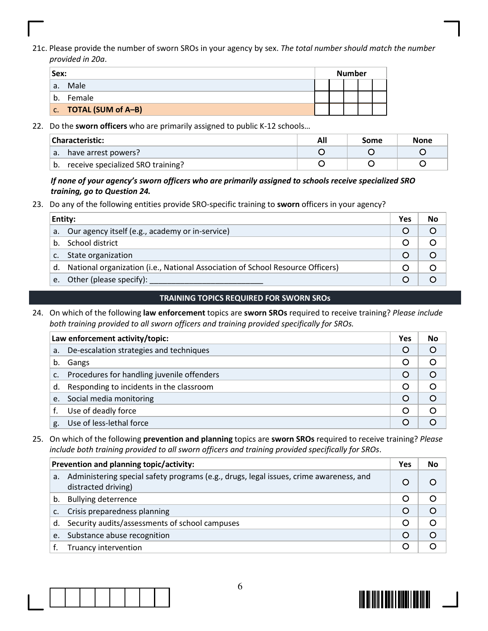21c. Please provide the number of sworn SROs in your agency by sex. The total number should match the number provided in 20a.

| Sex: |                       |  | <b>Number</b> |  |
|------|-----------------------|--|---------------|--|
|      | a. Male               |  |               |  |
|      | b. Female             |  |               |  |
|      | C. TOTAL (SUM of A-B) |  |               |  |

#### 22. Do the sworn officers who are primarily assigned to public K-12 schools...

|    | Characteristic:                   | Some | None |
|----|-----------------------------------|------|------|
| a. | have arrest powers?               |      |      |
| b. | receive specialized SRO training? |      |      |

## If none of your agency's sworn officers who are primarily assigned to schools receive specialized SRO training, go to Question 24.

23. Do any of the following entities provide SRO-specific training to sworn officers in your agency?

|                | Entity:                                                                        | Yes | No |
|----------------|--------------------------------------------------------------------------------|-----|----|
|                | a. Our agency itself (e.g., academy or in-service)                             |     |    |
| b.             | School district                                                                |     |    |
| C <sub>1</sub> | State organization                                                             |     |    |
| d.             | National organization (i.e., National Association of School Resource Officers) |     |    |
| e.             | Other (please specify):                                                        |     |    |

## TRAINING TOPICS REQUIRED FOR SWORN SROs

24. On which of the following law enforcement topics are sworn SROs required to receive training? Please include both training provided to all sworn officers and training provided specifically for SROs.

|                | Law enforcement activity/topic:             | Yes     | <b>No</b> |
|----------------|---------------------------------------------|---------|-----------|
| а.             | De-escalation strategies and techniques     | $\circ$ | O         |
| b.             | Gangs                                       |         |           |
| $\mathsf{C}$ . | Procedures for handling juvenile offenders  |         | C         |
|                | d. Responding to incidents in the classroom | O       | O         |
| e.             | Social media monitoring                     |         |           |
|                | Use of deadly force                         |         | C         |
| g.             | Use of less-lethal force                    |         |           |

## 25. On which of the following prevention and planning topics are sworn SROs required to receive training? Please include both training provided to all sworn officers and training provided specifically for SROs.

|    | Prevention and planning topic/activity:                                                                       | <b>Yes</b> | No        |
|----|---------------------------------------------------------------------------------------------------------------|------------|-----------|
| a. | Administering special safety programs (e.g., drugs, legal issues, crime awareness, and<br>distracted driving) |            |           |
| b. | <b>Bullying deterrence</b>                                                                                    | O          |           |
| C. | Crisis preparedness planning                                                                                  | $\Omega$   | $\Omega$  |
| d. | Security audits/assessments of school campuses                                                                | ◯          | $\bigcap$ |
| e. | Substance abuse recognition                                                                                   | $\Omega$   |           |
|    | Truancy intervention                                                                                          | ∩          |           |



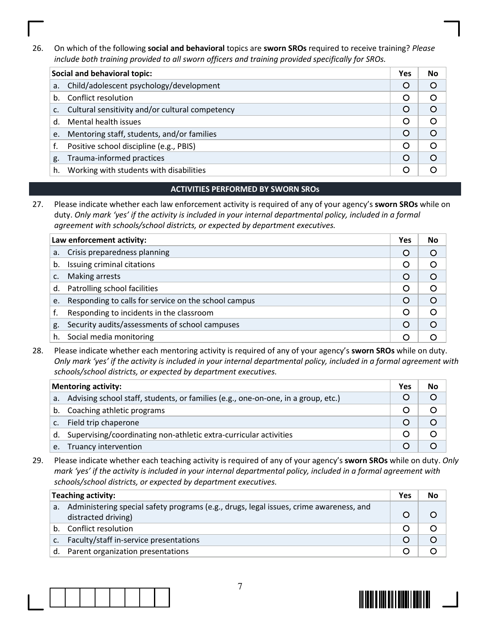26. On which of the following social and behavioral topics are sworn SROs required to receive training? Please include both training provided to all sworn officers and training provided specifically for SROs.

|    | Social and behavioral topic:                    | <b>Yes</b> | No       |
|----|-------------------------------------------------|------------|----------|
| a. | Child/adolescent psychology/development         |            | O        |
| b. | Conflict resolution                             | O          | O        |
| c. | Cultural sensitivity and/or cultural competency |            | O        |
| d. | Mental health issues                            | O          | O        |
| e. | Mentoring staff, students, and/or families      | $\Omega$   | $\Omega$ |
|    | Positive school discipline (e.g., PBIS)         | O          | O        |
| g. | Trauma-informed practices                       | $\Omega$   | $\Omega$ |
| h. | Working with students with disabilities         |            |          |

## ACTIVITIES PERFORMED BY SWORN SROs

27. Please indicate whether each law enforcement activity is required of any of your agency's sworn SROs while on duty. Only mark 'yes' if the activity is included in your internal departmental policy, included in a formal agreement with schools/school districts, or expected by department executives.

|    | Law enforcement activity:                            | <b>Yes</b> | No |
|----|------------------------------------------------------|------------|----|
| a. | Crisis preparedness planning                         | $\circ$    |    |
| b. | Issuing criminal citations                           | O          |    |
|    | Making arrests                                       | $\circ$    |    |
| d. | Patrolling school facilities                         | O          |    |
| e. | Responding to calls for service on the school campus | $\Omega$   |    |
|    | Responding to incidents in the classroom             | O          |    |
| g. | Security audits/assessments of school campuses       | $\Omega$   |    |
| h. | Social media monitoring                              |            |    |

28. Please indicate whether each mentoring activity is required of any of your agency's sworn SROs while on duty. Only mark 'yes' if the activity is included in your internal departmental policy, included in a formal agreement with schools/school districts, or expected by department executives.

|                | <b>Mentoring activity:</b>                                                        | Yes | No |
|----------------|-----------------------------------------------------------------------------------|-----|----|
| a.             | Advising school staff, students, or families (e.g., one-on-one, in a group, etc.) |     |    |
| b.             | Coaching athletic programs                                                        |     |    |
| $\mathsf{C}$ . | Field trip chaperone                                                              |     |    |
| d.             | Supervising/coordinating non-athletic extra-curricular activities                 |     |    |
| e.             | Truancy intervention                                                              |     |    |

29. Please indicate whether each teaching activity is required of any of your agency's sworn SROs while on duty. Only mark 'yes' if the activity is included in your internal departmental policy, included in a formal agreement with schools/school districts, or expected by department executives.

|                | <b>Teaching activity:</b>                                                                                     | Yes | No |
|----------------|---------------------------------------------------------------------------------------------------------------|-----|----|
| a.             | Administering special safety programs (e.g., drugs, legal issues, crime awareness, and<br>distracted driving) |     |    |
| b.             | Conflict resolution                                                                                           |     |    |
| $\mathsf{C}$ . | Faculty/staff in-service presentations                                                                        |     |    |
| d.             | Parent organization presentations                                                                             |     |    |